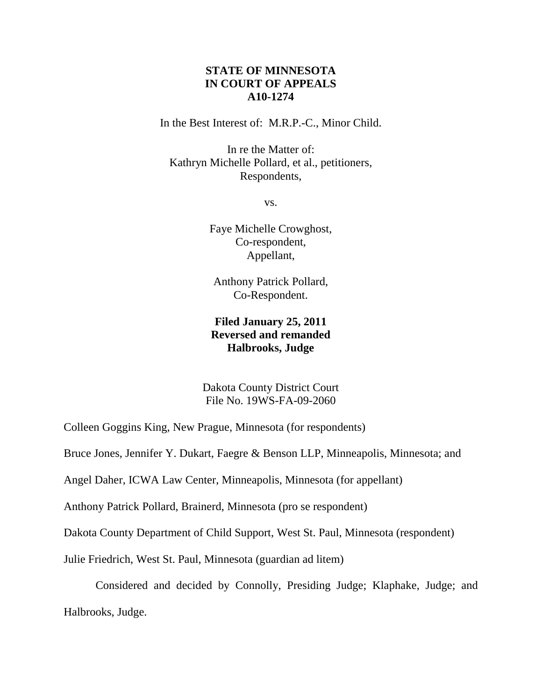# **STATE OF MINNESOTA IN COURT OF APPEALS A10-1274**

In the Best Interest of: M.R.P.-C., Minor Child.

In re the Matter of: Kathryn Michelle Pollard, et al., petitioners, Respondents,

vs.

Faye Michelle Crowghost, Co-respondent, Appellant,

Anthony Patrick Pollard, Co-Respondent.

# **Filed January 25, 2011 Reversed and remanded Halbrooks, Judge**

Dakota County District Court File No. 19WS-FA-09-2060

Colleen Goggins King, New Prague, Minnesota (for respondents)

Bruce Jones, Jennifer Y. Dukart, Faegre & Benson LLP, Minneapolis, Minnesota; and

Angel Daher, ICWA Law Center, Minneapolis, Minnesota (for appellant)

Anthony Patrick Pollard, Brainerd, Minnesota (pro se respondent)

Dakota County Department of Child Support, West St. Paul, Minnesota (respondent)

Julie Friedrich, West St. Paul, Minnesota (guardian ad litem)

Considered and decided by Connolly, Presiding Judge; Klaphake, Judge; and Halbrooks, Judge.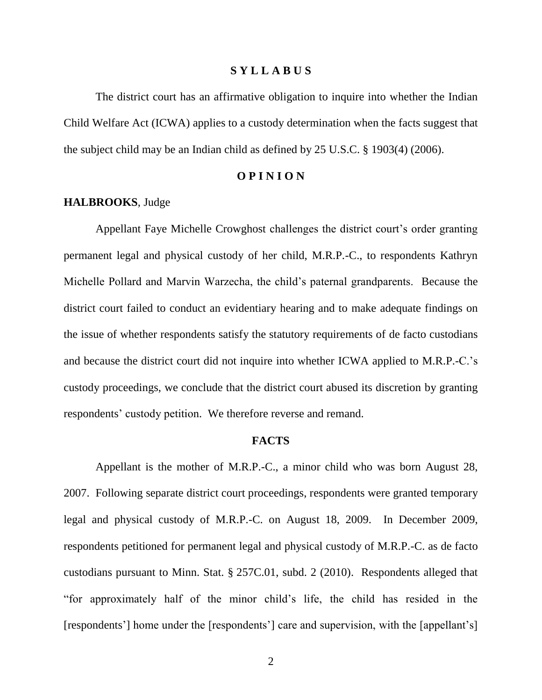### **S Y L L A B U S**

The district court has an affirmative obligation to inquire into whether the Indian Child Welfare Act (ICWA) applies to a custody determination when the facts suggest that the subject child may be an Indian child as defined by 25 U.S.C. § 1903(4) (2006).

### **O P I N I O N**

### **HALBROOKS**, Judge

Appellant Faye Michelle Crowghost challenges the district court's order granting permanent legal and physical custody of her child, M.R.P.-C., to respondents Kathryn Michelle Pollard and Marvin Warzecha, the child"s paternal grandparents. Because the district court failed to conduct an evidentiary hearing and to make adequate findings on the issue of whether respondents satisfy the statutory requirements of de facto custodians and because the district court did not inquire into whether ICWA applied to M.R.P.-C."s custody proceedings, we conclude that the district court abused its discretion by granting respondents' custody petition. We therefore reverse and remand.

#### **FACTS**

Appellant is the mother of M.R.P.-C., a minor child who was born August 28, 2007. Following separate district court proceedings, respondents were granted temporary legal and physical custody of M.R.P.-C. on August 18, 2009. In December 2009, respondents petitioned for permanent legal and physical custody of M.R.P.-C. as de facto custodians pursuant to Minn. Stat. § 257C.01, subd. 2 (2010). Respondents alleged that "for approximately half of the minor child"s life, the child has resided in the [respondents'] home under the [respondents'] care and supervision, with the [appellant's]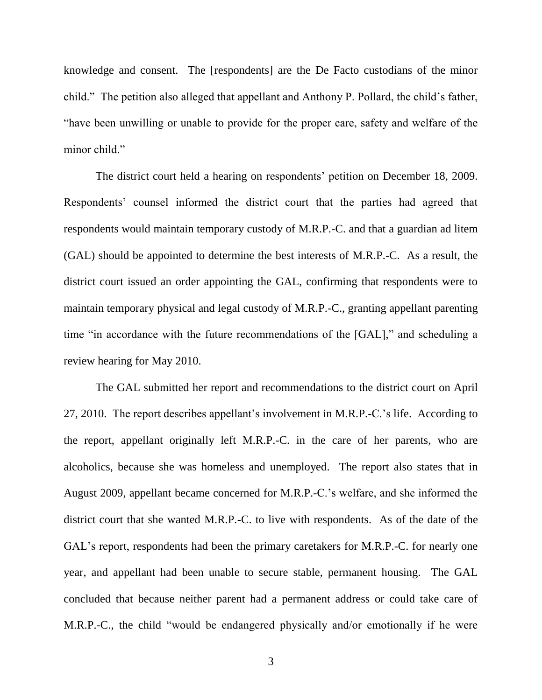knowledge and consent. The [respondents] are the De Facto custodians of the minor child." The petition also alleged that appellant and Anthony P. Pollard, the child's father, "have been unwilling or unable to provide for the proper care, safety and welfare of the minor child."

The district court held a hearing on respondents' petition on December 18, 2009. Respondents' counsel informed the district court that the parties had agreed that respondents would maintain temporary custody of M.R.P.-C. and that a guardian ad litem (GAL) should be appointed to determine the best interests of M.R.P.-C. As a result, the district court issued an order appointing the GAL, confirming that respondents were to maintain temporary physical and legal custody of M.R.P.-C., granting appellant parenting time "in accordance with the future recommendations of the [GAL]," and scheduling a review hearing for May 2010.

The GAL submitted her report and recommendations to the district court on April 27, 2010. The report describes appellant"s involvement in M.R.P.-C."s life. According to the report, appellant originally left M.R.P.-C. in the care of her parents, who are alcoholics, because she was homeless and unemployed. The report also states that in August 2009, appellant became concerned for M.R.P.-C."s welfare, and she informed the district court that she wanted M.R.P.-C. to live with respondents. As of the date of the GAL's report, respondents had been the primary caretakers for M.R.P.-C. for nearly one year, and appellant had been unable to secure stable, permanent housing. The GAL concluded that because neither parent had a permanent address or could take care of M.R.P.-C., the child "would be endangered physically and/or emotionally if he were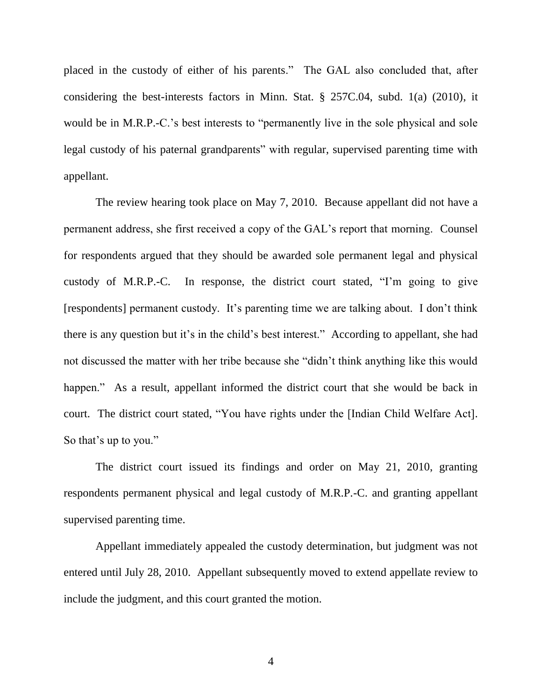placed in the custody of either of his parents." The GAL also concluded that, after considering the best-interests factors in Minn. Stat. § 257C.04, subd. 1(a) (2010), it would be in M.R.P.-C.'s best interests to "permanently live in the sole physical and sole legal custody of his paternal grandparents" with regular, supervised parenting time with appellant.

The review hearing took place on May 7, 2010. Because appellant did not have a permanent address, she first received a copy of the GAL"s report that morning. Counsel for respondents argued that they should be awarded sole permanent legal and physical custody of M.R.P.-C. In response, the district court stated, "I"m going to give [respondents] permanent custody. It's parenting time we are talking about. I don't think there is any question but it's in the child's best interest." According to appellant, she had not discussed the matter with her tribe because she "didn"t think anything like this would happen." As a result, appellant informed the district court that she would be back in court. The district court stated, "You have rights under the [Indian Child Welfare Act]. So that's up to you."

The district court issued its findings and order on May 21, 2010, granting respondents permanent physical and legal custody of M.R.P.-C. and granting appellant supervised parenting time.

Appellant immediately appealed the custody determination, but judgment was not entered until July 28, 2010. Appellant subsequently moved to extend appellate review to include the judgment, and this court granted the motion.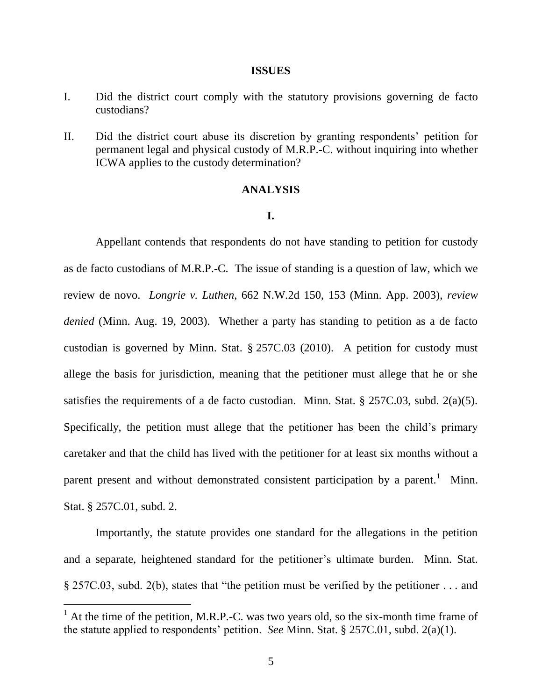#### **ISSUES**

- I. Did the district court comply with the statutory provisions governing de facto custodians?
- II. Did the district court abuse its discretion by granting respondents" petition for permanent legal and physical custody of M.R.P.-C. without inquiring into whether ICWA applies to the custody determination?

### **ANALYSIS**

### **I.**

Appellant contends that respondents do not have standing to petition for custody as de facto custodians of M.R.P.-C. The issue of standing is a question of law, which we review de novo. *Longrie v. Luthen*, 662 N.W.2d 150, 153 (Minn. App. 2003), *review denied* (Minn. Aug. 19, 2003). Whether a party has standing to petition as a de facto custodian is governed by Minn. Stat. § 257C.03 (2010). A petition for custody must allege the basis for jurisdiction, meaning that the petitioner must allege that he or she satisfies the requirements of a de facto custodian. Minn. Stat. § 257C.03, subd. 2(a)(5). Specifically, the petition must allege that the petitioner has been the child's primary caretaker and that the child has lived with the petitioner for at least six months without a parent present and without demonstrated consistent participation by a parent.<sup>1</sup> Minn. Stat. § 257C.01, subd. 2.

Importantly, the statute provides one standard for the allegations in the petition and a separate, heightened standard for the petitioner"s ultimate burden. Minn. Stat. § 257C.03, subd. 2(b), states that "the petition must be verified by the petitioner . . . and

 $\overline{a}$ 

 $<sup>1</sup>$  At the time of the petition, M.R.P.-C. was two years old, so the six-month time frame of</sup> the statute applied to respondents" petition. *See* Minn. Stat. § 257C.01, subd. 2(a)(1).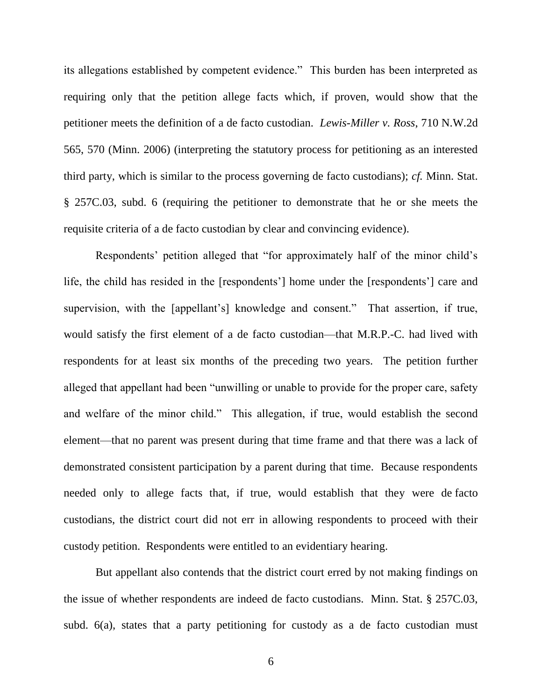its allegations established by competent evidence." This burden has been interpreted as requiring only that the petition allege facts which, if proven, would show that the petitioner meets the definition of a de facto custodian. *Lewis-Miller v. Ross*, 710 N.W.2d 565, 570 (Minn. 2006) (interpreting the statutory process for petitioning as an interested third party, which is similar to the process governing de facto custodians); *cf.* Minn. Stat. § 257C.03, subd. 6 (requiring the petitioner to demonstrate that he or she meets the requisite criteria of a de facto custodian by clear and convincing evidence).

Respondents' petition alleged that "for approximately half of the minor child's life, the child has resided in the [respondents'] home under the [respondents'] care and supervision, with the [appellant's] knowledge and consent." That assertion, if true, would satisfy the first element of a de facto custodian—that M.R.P.-C. had lived with respondents for at least six months of the preceding two years. The petition further alleged that appellant had been "unwilling or unable to provide for the proper care, safety and welfare of the minor child." This allegation, if true, would establish the second element—that no parent was present during that time frame and that there was a lack of demonstrated consistent participation by a parent during that time. Because respondents needed only to allege facts that, if true, would establish that they were de facto custodians, the district court did not err in allowing respondents to proceed with their custody petition. Respondents were entitled to an evidentiary hearing.

But appellant also contends that the district court erred by not making findings on the issue of whether respondents are indeed de facto custodians. Minn. Stat. § 257C.03, subd. 6(a), states that a party petitioning for custody as a de facto custodian must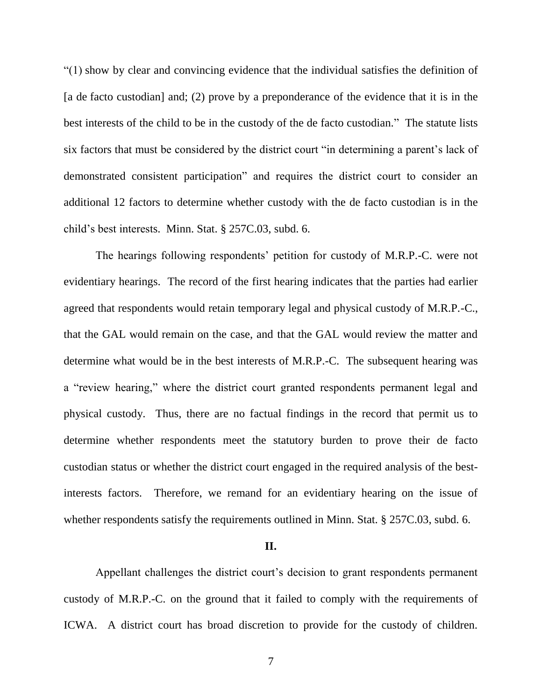"(1) show by clear and convincing evidence that the individual satisfies the definition of [a de facto custodian] and; (2) prove by a preponderance of the evidence that it is in the best interests of the child to be in the custody of the de facto custodian." The statute lists six factors that must be considered by the district court "in determining a parent"s lack of demonstrated consistent participation" and requires the district court to consider an additional 12 factors to determine whether custody with the de facto custodian is in the child"s best interests. Minn. Stat. § 257C.03, subd. 6.

The hearings following respondents' petition for custody of M.R.P.-C. were not evidentiary hearings. The record of the first hearing indicates that the parties had earlier agreed that respondents would retain temporary legal and physical custody of M.R.P.-C., that the GAL would remain on the case, and that the GAL would review the matter and determine what would be in the best interests of M.R.P.-C. The subsequent hearing was a "review hearing," where the district court granted respondents permanent legal and physical custody. Thus, there are no factual findings in the record that permit us to determine whether respondents meet the statutory burden to prove their de facto custodian status or whether the district court engaged in the required analysis of the bestinterests factors. Therefore, we remand for an evidentiary hearing on the issue of whether respondents satisfy the requirements outlined in Minn. Stat. § 257C.03, subd. 6.

### **II.**

Appellant challenges the district court's decision to grant respondents permanent custody of M.R.P.-C. on the ground that it failed to comply with the requirements of ICWA.A district court has broad discretion to provide for the custody of children.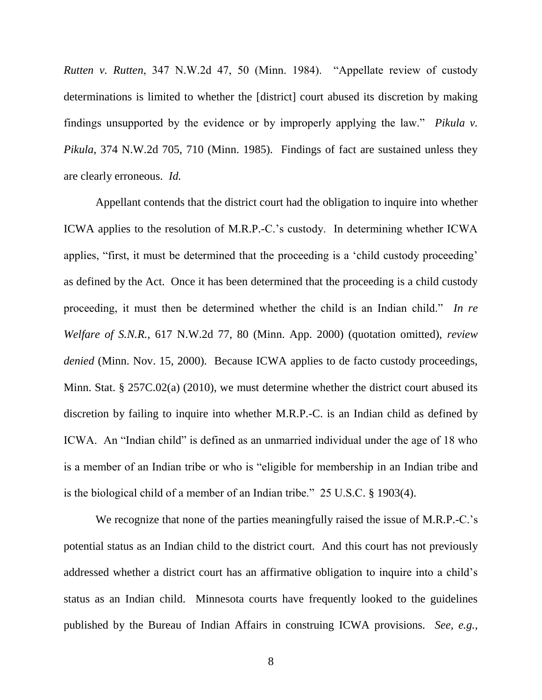*Rutten v. Rutten*, 347 N.W.2d 47, 50 (Minn. 1984). "Appellate review of custody determinations is limited to whether the [district] court abused its discretion by making findings unsupported by the evidence or by improperly applying the law." *Pikula v. Pikula*, 374 N.W.2d 705, 710 (Minn. 1985). Findings of fact are sustained unless they are clearly erroneous. *Id.* 

Appellant contends that the district court had the obligation to inquire into whether ICWA applies to the resolution of M.R.P.-C."s custody. In determining whether ICWA applies, "first, it must be determined that the proceeding is a "child custody proceeding" as defined by the Act. Once it has been determined that the proceeding is a child custody proceeding, it must then be determined whether the child is an Indian child." *In re Welfare of S.N.R.*, 617 N.W.2d 77, 80 (Minn. App. 2000) (quotation omitted), *review denied* (Minn. Nov. 15, 2000). Because ICWA applies to de facto custody proceedings, Minn. Stat. § 257C.02(a) (2010), we must determine whether the district court abused its discretion by failing to inquire into whether M.R.P.-C. is an Indian child as defined by ICWA. An "Indian child" is defined as an unmarried individual under the age of 18 who is a member of an Indian tribe or who is "eligible for membership in an Indian tribe and is the biological child of a member of an Indian tribe." 25 U.S.C. § 1903(4).

We recognize that none of the parties meaningfully raised the issue of M.R.P.-C.'s potential status as an Indian child to the district court. And this court has not previously addressed whether a district court has an affirmative obligation to inquire into a child"s status as an Indian child. Minnesota courts have frequently looked to the guidelines published by the Bureau of Indian Affairs in construing ICWA provisions. *See, e.g.,*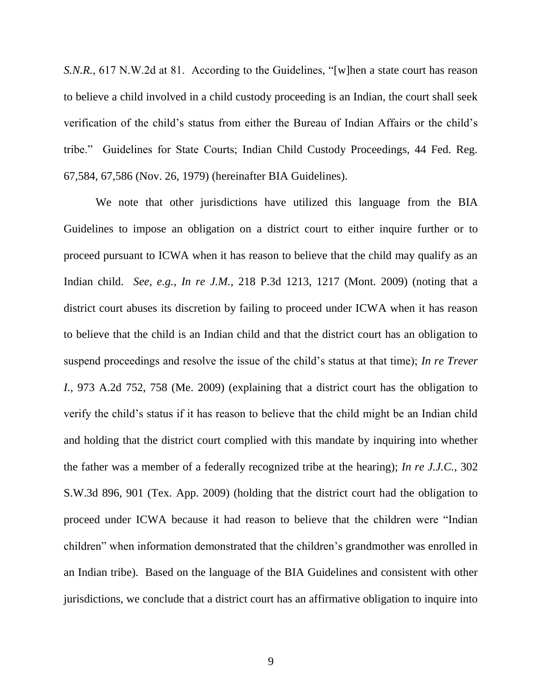*S.N.R.*, 617 N.W.2d at 81. According to the Guidelines, "[w]hen a state court has reason to believe a child involved in a child custody proceeding is an Indian, the court shall seek verification of the child"s status from either the Bureau of Indian Affairs or the child"s tribe." Guidelines for State Courts; Indian Child Custody Proceedings, 44 Fed. Reg. 67,584, 67,586 (Nov. 26, 1979) (hereinafter BIA Guidelines).

We note that other jurisdictions have utilized this language from the BIA Guidelines to impose an obligation on a district court to either inquire further or to proceed pursuant to ICWA when it has reason to believe that the child may qualify as an Indian child. *See, e.g.*, *In re J.M.*, 218 P.3d 1213, 1217 (Mont. 2009) (noting that a district court abuses its discretion by failing to proceed under ICWA when it has reason to believe that the child is an Indian child and that the district court has an obligation to suspend proceedings and resolve the issue of the child"s status at that time); *In re Trever I.*, 973 A.2d 752, 758 (Me. 2009) (explaining that a district court has the obligation to verify the child"s status if it has reason to believe that the child might be an Indian child and holding that the district court complied with this mandate by inquiring into whether the father was a member of a federally recognized tribe at the hearing); *In re J.J.C.*, 302 S.W.3d 896, 901 (Tex. App. 2009) (holding that the district court had the obligation to proceed under ICWA because it had reason to believe that the children were "Indian children" when information demonstrated that the children"s grandmother was enrolled in an Indian tribe). Based on the language of the BIA Guidelines and consistent with other jurisdictions, we conclude that a district court has an affirmative obligation to inquire into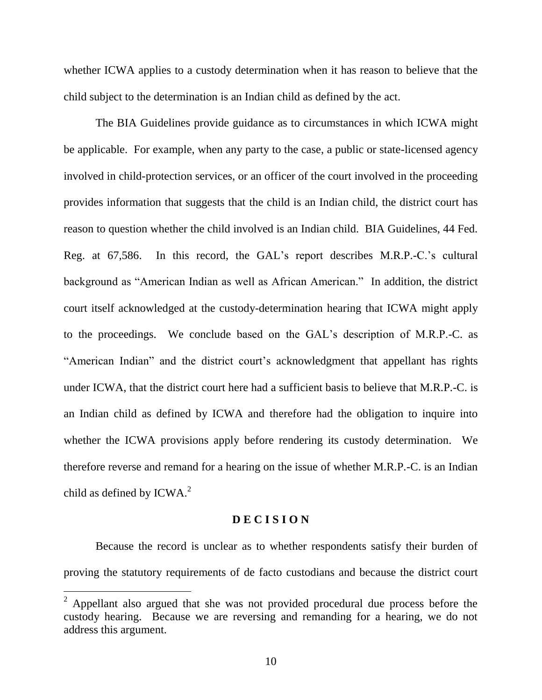whether ICWA applies to a custody determination when it has reason to believe that the child subject to the determination is an Indian child as defined by the act.

The BIA Guidelines provide guidance as to circumstances in which ICWA might be applicable. For example, when any party to the case, a public or state-licensed agency involved in child-protection services, or an officer of the court involved in the proceeding provides information that suggests that the child is an Indian child, the district court has reason to question whether the child involved is an Indian child. BIA Guidelines, 44 Fed. Reg. at 67,586. In this record, the GAL's report describes M.R.P.-C.'s cultural background as "American Indian as well as African American." In addition, the district court itself acknowledged at the custody-determination hearing that ICWA might apply to the proceedings. We conclude based on the GAL"s description of M.R.P.-C. as "American Indian" and the district court's acknowledgment that appellant has rights under ICWA, that the district court here had a sufficient basis to believe that M.R.P.-C. is an Indian child as defined by ICWA and therefore had the obligation to inquire into whether the ICWA provisions apply before rendering its custody determination. We therefore reverse and remand for a hearing on the issue of whether M.R.P.-C. is an Indian child as defined by ICWA.<sup>2</sup>

### **D E C I S I O N**

Because the record is unclear as to whether respondents satisfy their burden of proving the statutory requirements of de facto custodians and because the district court

 $2$  Appellant also argued that she was not provided procedural due process before the custody hearing. Because we are reversing and remanding for a hearing, we do not address this argument.